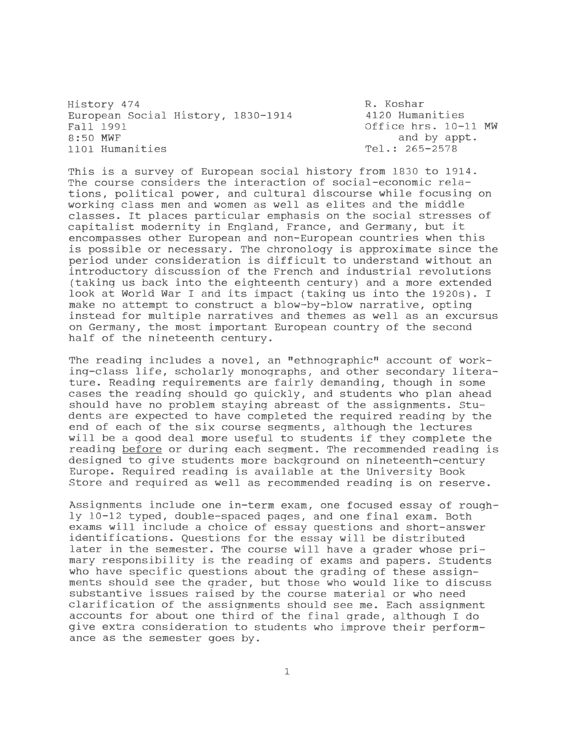History 474 European Social History, 1830-1914 Fall 1991 8:50 MWF 1101 Humanities

R. Koshar 4120 Humanities Office hrs. 10-11 MW and by appt. Tel.: 265-2578

This is a survey of European social history from 1830 to 1914. The course considers the interaction of social-economic relations, political power, and cultural discourse while focusing on working class men and women as well as elites and the middle classes. It places particular emphasis on the social stresses of capitalist modernity in England, France, and Germany, but it encompasses other European and non-European countries when this is possible or necessary. The chronology is approximate since the period under consideration is difficult to understand without an introductory discussion of the French and industrial revolutions (taking us back into the eighteenth century) and a more extended look at World War I and its impact (taking us into the 1920s). I make no attempt to construct a blow-by-blow narrative, opting instead for multiple narratives and themes as well as an excursus on Germany, the most important European country of the second half of the nineteenth century.

The reading includes a novel, an "ethnographic" account of working-class life, scholarly monographs, and other secondary literature. Reading requirements are fairly demanding, though in some cases the reading should go quickly, and students who plan ahead should have no problem staying abreast of the assignments. Students are expected to have completed the required reading by the end of each of the six course segments, although the lectures will be a good deal more useful to students if they complete the reading before or during each segment. The recommended reading is designed to give students more background on nineteenth-century Europe. Required reading is available at the University Book Store and required as well as recommended reading is on reserve.

Assignments include one in-term exam, one focused essay of roughly 10-12 typed, double-spaced pages, and one final exam. Both exams will include a choice of essay questions and short-answer identifications. Questions for the essay will be distributed later in the semester. The course will have a grader whose primary responsibility is the reading of exams and papers. students who have specific questions about the grading of these assignments should see the grader, but those who would like to discuss substantive issues raised by the course material or who need clarification of the assignments should see me. Each assignment accounts for about one third of the final grade, although I do give extra consideration to students who improve their performance as the semester goes by.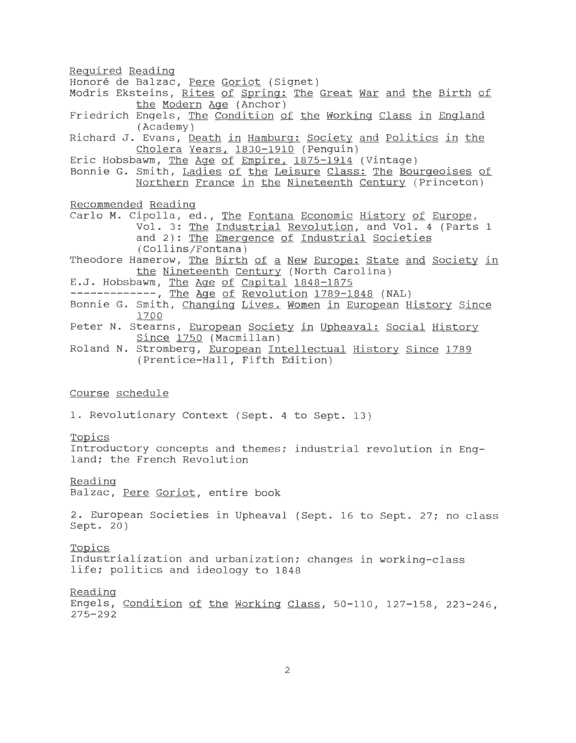Reguired Reading Honoré de Balzac, Pere Goriot (Signet) Modris Eksteins, Rites of Spring: The Great War and the Birth of the Modern Age (Anchor) Friedrich Engels, The Condition of the Working Class in England (Academy) Richard J. Evans, Death in Hamburg: Society and Politics in the Cholera Years. 1830-1910 (Penguin) Eric Hobsbawm, The Age of Empire, 1875-1914 (Vintage) Bonnie G. Smith, Ladies of the Leisure Class: The Bourgeoises of Northern France in the Nineteenth Century (Princeton) Recommended Reading Carlo M. Cipolla, ed., The Fontana Economic History of Europe, Vol. 3: The Industrial Revolution, and Vol. 4 (Parts 1 and 2): The Emergence of Industrial Societies (Collins/Fontana) Theodore Hamerow, The Birth of a New Europe: State and Society in the Nineteenth Century (North Carolina) E.J. Hobsbawm, The Age of Capital 1848-1875 -------------, The Age of Revolution 1789-1848 (NAL) Bonnie G. Smith, Changing Lives. Women in European History Since 1700 Peter N. Stearns, European Society in Upheaval: Social History Since 1750 (Macmillan) Roland N. Stromberg, European Intellectual History Since 1789 (Prentice-Hall, Fifth Edition) Course schedule 1. Revolutionary Context (Sept. 4 to Sept. 13) Topics Introductory concepts and themes; industrial revolution in England; the French Revolution Reading Balzac, Pere Goriot, entire book 2. European Societies in Upheaval (Sept. 16 to Sept. 27; no class Sept. 20) Topics Industrialization and urbanization; changes in working-class life; politics and ideology to 1848 Reading Engels, Condition Qf the Working Class, 50-110, 127-158, 223-246, 275-292